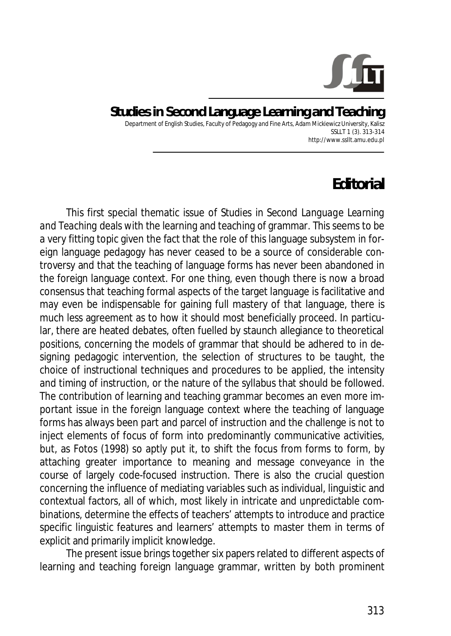

**Studies in Second Language Learning and Teaching**  Department of English Studies, Faculty of Pedagogy and Fine Arts, Adam Mickiewicz University, Kalisz SSLLT 1 (3). 313-314 http://www.ssllt.amu.edu.pl

## **Editorial**

This first special thematic issue of *Studies in Second Language Learning and Teaching* deals with the learning and teaching of grammar. This seems to be a very fitting topic given the fact that the role of this language subsystem in foreign language pedagogy has never ceased to be a source of considerable controversy and that the teaching of language forms has never been abandoned in the foreign language context. For one thing, even though there is now a broad consensus that teaching formal aspects of the target language is facilitative and may even be indispensable for gaining full mastery of that language, there is much less agreement as to how it should most beneficially proceed. In particular, there are heated debates, often fuelled by staunch allegiance to theoretical positions, concerning the models of grammar that should be adhered to in designing pedagogic intervention, the selection of structures to be taught, the choice of instructional techniques and procedures to be applied, the intensity and timing of instruction, or the nature of the syllabus that should be followed. The contribution of learning and teaching grammar becomes an even more important issue in the foreign language context where the teaching of language forms has always been part and parcel of instruction and the challenge is not to inject elements of focus of form into predominantly communicative activities, but, as Fotos (1998) so aptly put it, to shift the focus from forms to form, by attaching greater importance to meaning and message conveyance in the course of largely code-focused instruction. There is also the crucial question concerning the influence of mediating variables such as individual, linguistic and contextual factors, all of which, most likely in intricate and unpredictable combinations, determine the effects of teachers' attempts to introduce and practice specific linguistic features and learners' attempts to master them in terms of explicit and primarily implicit knowledge.

The present issue brings together six papers related to different aspects of learning and teaching foreign language grammar, written by both prominent